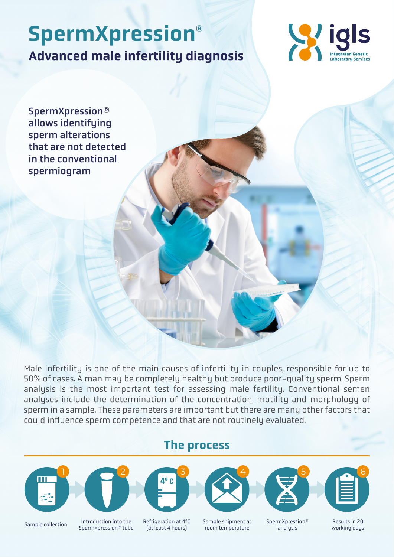# Advanced male infertility diagnosis SpermXpression®



SpermXpression® allows identifying sperm alterations that are not detected in the conventional spermiogram

Male infertility is one of the main causes of infertility in couples, responsible for up to 50% of cases. A man may be completely healthy but produce poor-quality sperm. Sperm analysis is the most important test for assessing male fertility. Conventional semen analyses include the determination of the concentration, motility and morphology of sperm in a sample. These parameters are important but there are many other factors that could influence sperm competence and that are not routinely evaluated.

The process











Sample collection Introduction into the SpermXpression® tube Refrigeration at 4ºC (at least 4 hours)

Sample shipment at room temperature

SpermXpression® analysis

Results in 20 working days